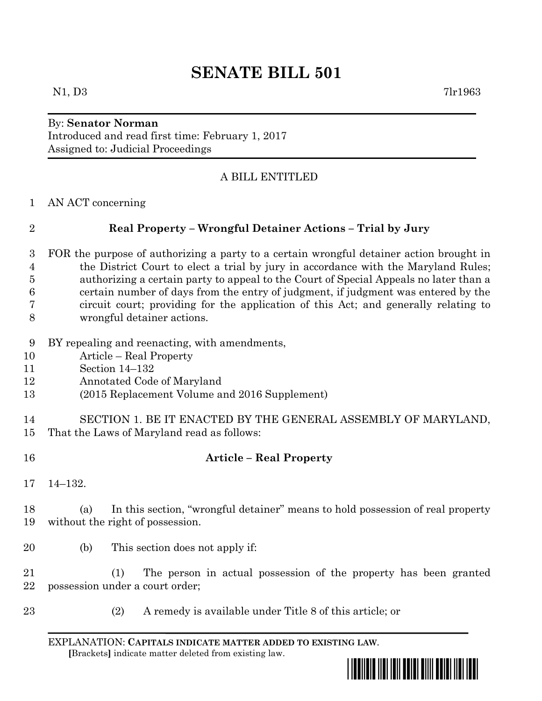# **SENATE BILL 501**

## By: **Senator Norman** Introduced and read first time: February 1, 2017 Assigned to: Judicial Proceedings

# A BILL ENTITLED

AN ACT concerning

# **Real Property – Wrongful Detainer Actions – Trial by Jury**

- FOR the purpose of authorizing a party to a certain wrongful detainer action brought in the District Court to elect a trial by jury in accordance with the Maryland Rules; authorizing a certain party to appeal to the Court of Special Appeals no later than a certain number of days from the entry of judgment, if judgment was entered by the circuit court; providing for the application of this Act; and generally relating to wrongful detainer actions.
- BY repealing and reenacting, with amendments,
- Article Real Property
- Section 14–132
- Annotated Code of Maryland
- (2015 Replacement Volume and 2016 Supplement)
- SECTION 1. BE IT ENACTED BY THE GENERAL ASSEMBLY OF MARYLAND, That the Laws of Maryland read as follows:
- **Article – Real Property**
- 14–132.
- (a) In this section, "wrongful detainer" means to hold possession of real property without the right of possession.
- (b) This section does not apply if:

 (1) The person in actual possession of the property has been granted possession under a court order;

- 
- (2) A remedy is available under Title 8 of this article; or

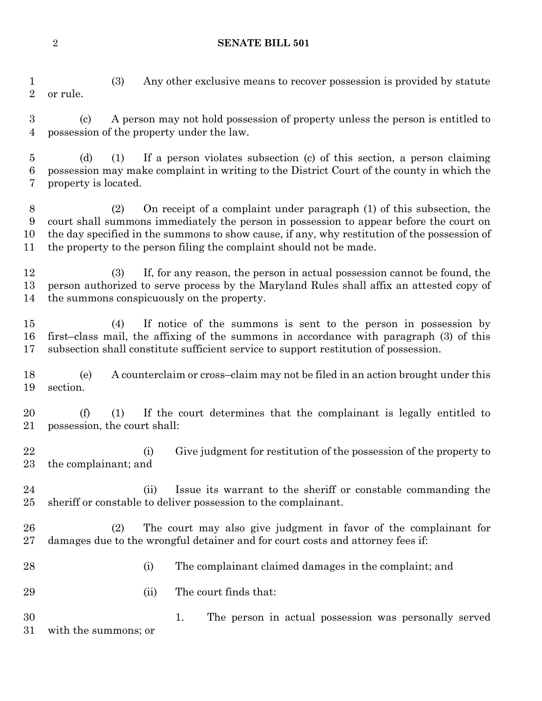**SENATE BILL 501**

 (3) Any other exclusive means to recover possession is provided by statute or rule. (c) A person may not hold possession of property unless the person is entitled to possession of the property under the law. (d) (1) If a person violates subsection (c) of this section, a person claiming possession may make complaint in writing to the District Court of the county in which the property is located. (2) On receipt of a complaint under paragraph (1) of this subsection, the

 court shall summons immediately the person in possession to appear before the court on the day specified in the summons to show cause, if any, why restitution of the possession of the property to the person filing the complaint should not be made.

 (3) If, for any reason, the person in actual possession cannot be found, the person authorized to serve process by the Maryland Rules shall affix an attested copy of the summons conspicuously on the property.

 (4) If notice of the summons is sent to the person in possession by first–class mail, the affixing of the summons in accordance with paragraph (3) of this subsection shall constitute sufficient service to support restitution of possession.

 (e) A counterclaim or cross–claim may not be filed in an action brought under this section.

 (f) (1) If the court determines that the complainant is legally entitled to possession, the court shall:

22 (i) Give judgment for restitution of the possession of the property to the complainant; and

24 (ii) Issue its warrant to the sheriff or constable commanding the sheriff or constable to deliver possession to the complainant.

 (2) The court may also give judgment in favor of the complainant for damages due to the wrongful detainer and for court costs and attorney fees if:

(i) The complainant claimed damages in the complaint; and

29 (ii) The court finds that:

 1. The person in actual possession was personally served with the summons; or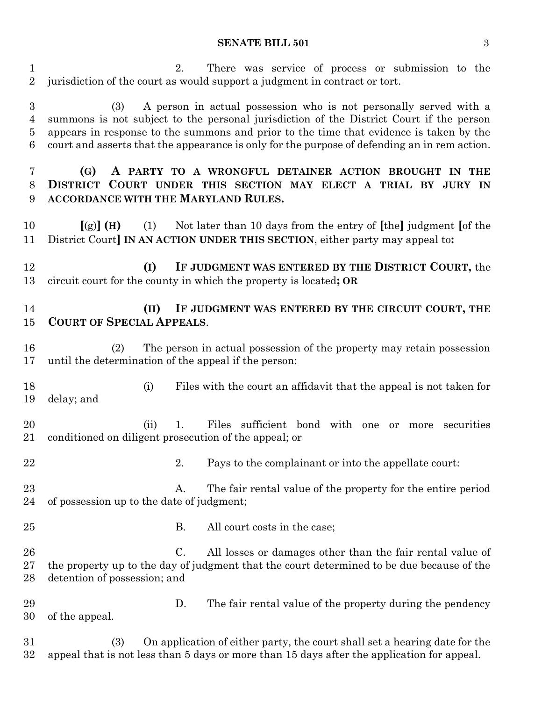#### **SENATE BILL 501** 3

 2. There was service of process or submission to the jurisdiction of the court as would support a judgment in contract or tort.

 (3) A person in actual possession who is not personally served with a summons is not subject to the personal jurisdiction of the District Court if the person appears in response to the summons and prior to the time that evidence is taken by the court and asserts that the appearance is only for the purpose of defending an in rem action.

## **(G) A PARTY TO A WRONGFUL DETAINER ACTION BROUGHT IN THE DISTRICT COURT UNDER THIS SECTION MAY ELECT A TRIAL BY JURY IN ACCORDANCE WITH THE MARYLAND RULES.**

 **[**(g)**] (H)** (1) Not later than 10 days from the entry of **[**the**]** judgment **[**of the District Court**] IN AN ACTION UNDER THIS SECTION**, either party may appeal to**:**

 **(I) IF JUDGMENT WAS ENTERED BY THE DISTRICT COURT,** the circuit court for the county in which the property is located**; OR**

### **(II) IF JUDGMENT WAS ENTERED BY THE CIRCUIT COURT, THE COURT OF SPECIAL APPEALS**.

 (2) The person in actual possession of the property may retain possession until the determination of the appeal if the person:

- (i) Files with the court an affidavit that the appeal is not taken for delay; and
- (ii) 1. Files sufficient bond with one or more securities conditioned on diligent prosecution of the appeal; or
- 22 2. Pays to the complainant or into the appellate court:
- 23 A. The fair rental value of the property for the entire period of possession up to the date of judgment;
- 
- 25 B. All court costs in the case;
- C. All losses or damages other than the fair rental value of the property up to the day of judgment that the court determined to be due because of the detention of possession; and
- D. The fair rental value of the property during the pendency of the appeal.
- (3) On application of either party, the court shall set a hearing date for the appeal that is not less than 5 days or more than 15 days after the application for appeal.